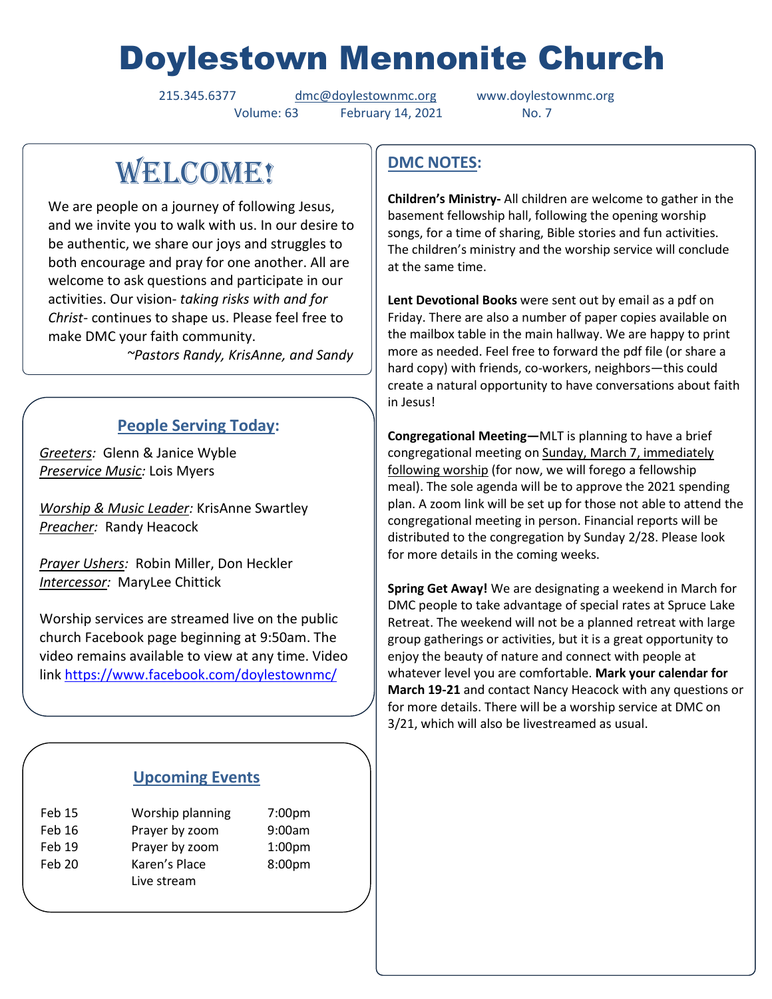# Doylestown Mennonite Church

215.345.6377 [dmc@doylestownmc.org](mailto:dmc@doylestownmc.org) www.doylestownmc.org Volume: 63 February 14, 2021 No. 7

WELCOME!

We are people on a journey of following Jesus, and we invite you to walk with us. In our desire to be authentic, we share our joys and struggles to both encourage and pray for one another. All are welcome to ask questions and participate in our activities. Our vision- *taking risks with and for Christ*- continues to shape us. Please feel free to make DMC your faith community.

 *~Pastors Randy, KrisAnne, and Sandy*

### **People Serving Today:**

*Greeters:* Glenn & Janice Wyble *Preservice Music:* Lois Myers

*Worship & Music Leader:* KrisAnne Swartley *Preacher:* Randy Heacock

*Prayer Ushers:* Robin Miller, Don Heckler *Intercessor:* MaryLee Chittick

Worship services are streamed live on the public church Facebook page beginning at 9:50am. The video remains available to view at any time. Video link <https://www.facebook.com/doylestownmc/>

### **Upcoming Events**

| <b>Feb 15</b> | Worship planning | 7:00pm             |
|---------------|------------------|--------------------|
| Feb 16        | Prayer by zoom   | 9:00am             |
| Feb 19        | Prayer by zoom   | 1:00 <sub>pm</sub> |
| Feb 20        | Karen's Place    | 8:00pm             |
|               | Live stream      |                    |

## **DMC NOTES:**

**Children's Ministry-** All children are welcome to gather in the basement fellowship hall, following the opening worship songs, for a time of sharing, Bible stories and fun activities. The children's ministry and the worship service will conclude at the same time.

**Lent Devotional Books** were sent out by email as a pdf on Friday. There are also a number of paper copies available on the mailbox table in the main hallway. We are happy to print more as needed. Feel free to forward the pdf file (or share a hard copy) with friends, co-workers, neighbors—this could create a natural opportunity to have conversations about faith in Jesus!

**Congregational Meeting—**MLT is planning to have a brief congregational meeting on Sunday, March 7, immediately following worship (for now, we will forego a fellowship meal). The sole agenda will be to approve the 2021 spending plan. A zoom link will be set up for those not able to attend the congregational meeting in person. Financial reports will be distributed to the congregation by Sunday 2/28. Please look for more details in the coming weeks.

**Spring Get Away!** We are designating a weekend in March for DMC people to take advantage of special rates at Spruce Lake Retreat. The weekend will not be a planned retreat with large group gatherings or activities, but it is a great opportunity to enjoy the beauty of nature and connect with people at whatever level you are comfortable. **Mark your calendar for March 19-21** and contact Nancy Heacock with any questions or for more details. There will be a worship service at DMC on 3/21, which will also be livestreamed as usual.